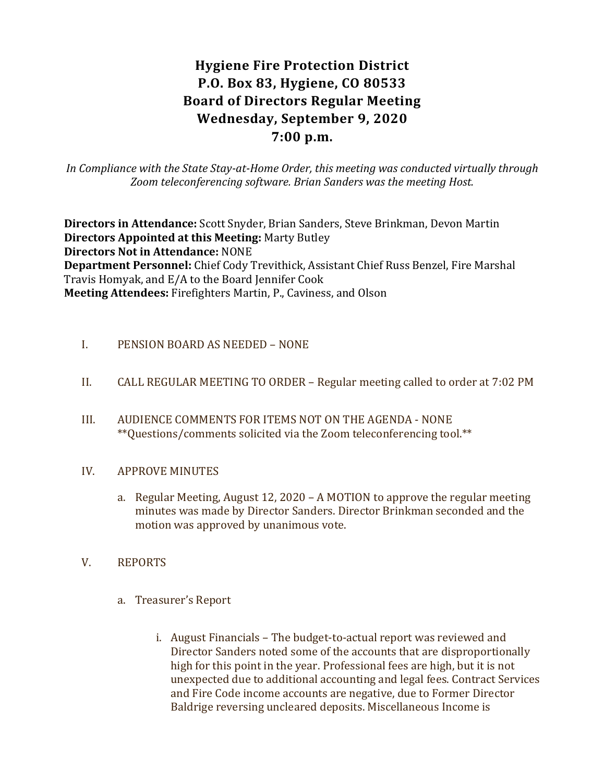# **Hygiene Fire Protection District P.O. Box 83, Hygiene, CO 80533 Board of Directors Regular Meeting Wednesday, September 9, 2020 7:00 p.m.**

*In Compliance with the State Stay-at-Home Order, this meeting was conducted virtually through Zoom teleconferencing software. Brian Sanders was the meeting Host.*

**Directors in Attendance:** Scott Snyder, Brian Sanders, Steve Brinkman, Devon Martin **Directors Appointed at this Meeting:** Marty Butley **Directors Not in Attendance:** NONE **Department Personnel:** Chief Cody Trevithick, Assistant Chief Russ Benzel, Fire Marshal Travis Homyak, and E/A to the Board Jennifer Cook **Meeting Attendees:** Firefighters Martin, P., Caviness, and Olson

- I. PENSION BOARD AS NEEDED NONE
- II. CALL REGULAR MEETING TO ORDER Regular meeting called to order at 7:02 PM
- III. AUDIENCE COMMENTS FOR ITEMS NOT ON THE AGENDA NONE \*\*Questions/comments solicited via the Zoom teleconferencing tool.\*\*

## IV. APPROVE MINUTES

- a. Regular Meeting, August 12, 2020 A MOTION to approve the regular meeting minutes was made by Director Sanders. Director Brinkman seconded and the motion was approved by unanimous vote.
- V. REPORTS
	- a. Treasurer's Report
		- i. August Financials The budget-to-actual report was reviewed and Director Sanders noted some of the accounts that are disproportionally high for this point in the year. Professional fees are high, but it is not unexpected due to additional accounting and legal fees. Contract Services and Fire Code income accounts are negative, due to Former Director Baldrige reversing uncleared deposits. Miscellaneous Income is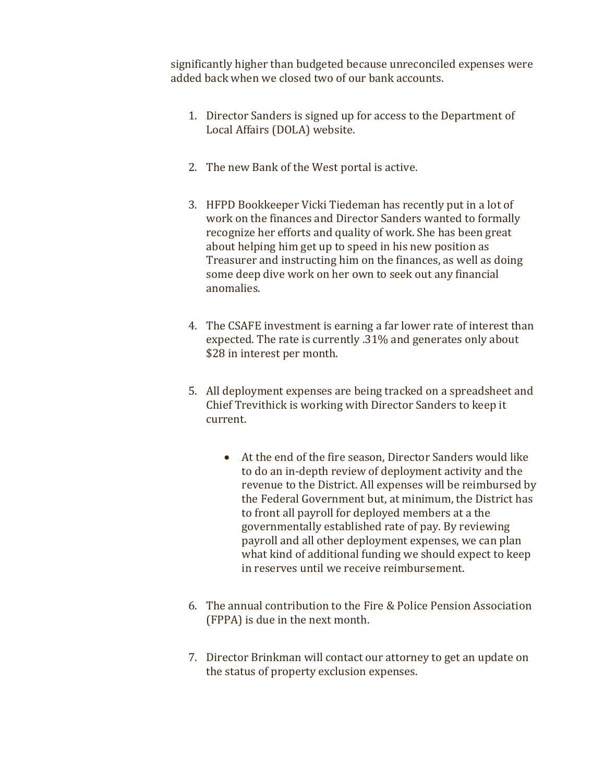significantly higher than budgeted because unreconciled expenses were added back when we closed two of our bank accounts.

- 1. Director Sanders is signed up for access to the Department of Local Affairs (DOLA) website.
- 2. The new Bank of the West portal is active.
- 3. HFPD Bookkeeper Vicki Tiedeman has recently put in a lot of work on the finances and Director Sanders wanted to formally recognize her efforts and quality of work. She has been great about helping him get up to speed in his new position as Treasurer and instructing him on the finances, as well as doing some deep dive work on her own to seek out any financial anomalies.
- 4. The CSAFE investment is earning a far lower rate of interest than expected. The rate is currently .31% and generates only about \$28 in interest per month.
- 5. All deployment expenses are being tracked on a spreadsheet and Chief Trevithick is working with Director Sanders to keep it current.
	- At the end of the fire season, Director Sanders would like to do an in-depth review of deployment activity and the revenue to the District. All expenses will be reimbursed by the Federal Government but, at minimum, the District has to front all payroll for deployed members at a the governmentally established rate of pay. By reviewing payroll and all other deployment expenses, we can plan what kind of additional funding we should expect to keep in reserves until we receive reimbursement.
- 6. The annual contribution to the Fire & Police Pension Association (FPPA) is due in the next month.
- 7. Director Brinkman will contact our attorney to get an update on the status of property exclusion expenses.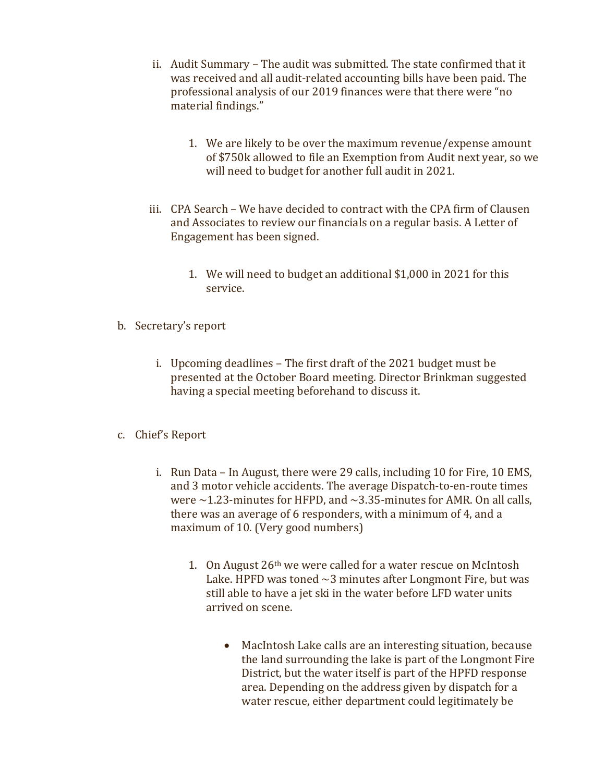- ii. Audit Summary The audit was submitted. The state confirmed that it was received and all audit-related accounting bills have been paid. The professional analysis of our 2019 finances were that there were "no material findings."
	- 1. We are likely to be over the maximum revenue/expense amount of \$750k allowed to file an Exemption from Audit next year, so we will need to budget for another full audit in 2021.
- iii. CPA Search We have decided to contract with the CPA firm of Clausen and Associates to review our financials on a regular basis. A Letter of Engagement has been signed.
	- 1. We will need to budget an additional \$1,000 in 2021 for this service.
- b. Secretary's report
	- i. Upcoming deadlines The first draft of the 2021 budget must be presented at the October Board meeting. Director Brinkman suggested having a special meeting beforehand to discuss it.
- c. Chief's Report
	- i. Run Data In August, there were 29 calls, including 10 for Fire, 10 EMS, and 3 motor vehicle accidents. The average Dispatch-to-en-route times were  $\sim$  1.23-minutes for HFPD, and  $\sim$  3.35-minutes for AMR. On all calls, there was an average of 6 responders, with a minimum of 4, and a maximum of 10. (Very good numbers)
		- 1. On August 26th we were called for a water rescue on McIntosh Lake. HPFD was toned  $\sim$ 3 minutes after Longmont Fire, but was still able to have a jet ski in the water before LFD water units arrived on scene.
			- MacIntosh Lake calls are an interesting situation, because the land surrounding the lake is part of the Longmont Fire District, but the water itself is part of the HPFD response area. Depending on the address given by dispatch for a water rescue, either department could legitimately be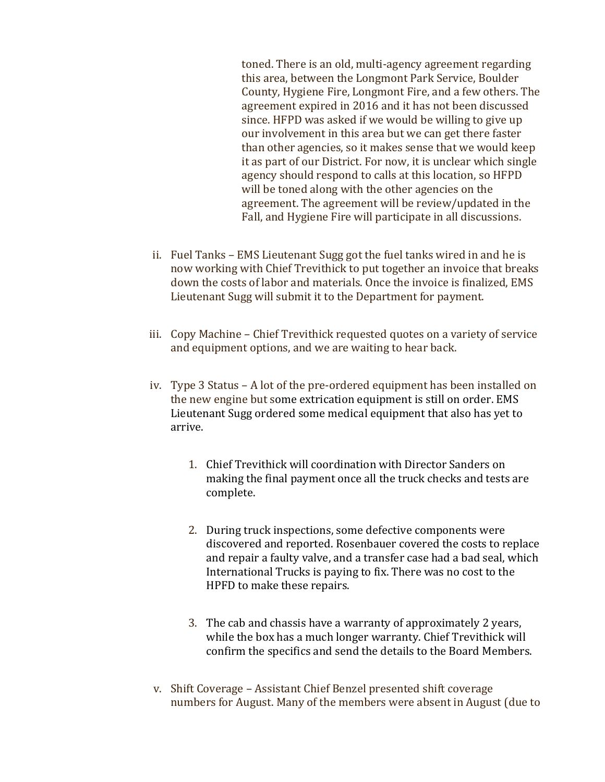toned. There is an old, multi-agency agreement regarding this area, between the Longmont Park Service, Boulder County, Hygiene Fire, Longmont Fire, and a few others. The agreement expired in 2016 and it has not been discussed since. HFPD was asked if we would be willing to give up our involvement in this area but we can get there faster than other agencies, so it makes sense that we would keep it as part of our District. For now, it is unclear which single agency should respond to calls at this location, so HFPD will be toned along with the other agencies on the agreement. The agreement will be review/updated in the Fall, and Hygiene Fire will participate in all discussions.

- ii. Fuel Tanks EMS Lieutenant Sugg got the fuel tanks wired in and he is now working with Chief Trevithick to put together an invoice that breaks down the costs of labor and materials. Once the invoice is finalized, EMS Lieutenant Sugg will submit it to the Department for payment.
- iii. Copy Machine Chief Trevithick requested quotes on a variety of service and equipment options, and we are waiting to hear back.
- iv. Type 3 Status A lot of the pre-ordered equipment has been installed on the new engine but some extrication equipment is still on order. EMS Lieutenant Sugg ordered some medical equipment that also has yet to arrive.
	- 1. Chief Trevithick will coordination with Director Sanders on making the final payment once all the truck checks and tests are complete.
	- 2. During truck inspections, some defective components were discovered and reported. Rosenbauer covered the costs to replace and repair a faulty valve, and a transfer case had a bad seal, which International Trucks is paying to fix. There was no cost to the HPFD to make these repairs.
	- 3. The cab and chassis have a warranty of approximately 2 years, while the box has a much longer warranty. Chief Trevithick will confirm the specifics and send the details to the Board Members.
- v. Shift Coverage Assistant Chief Benzel presented shift coverage numbers for August. Many of the members were absent in August (due to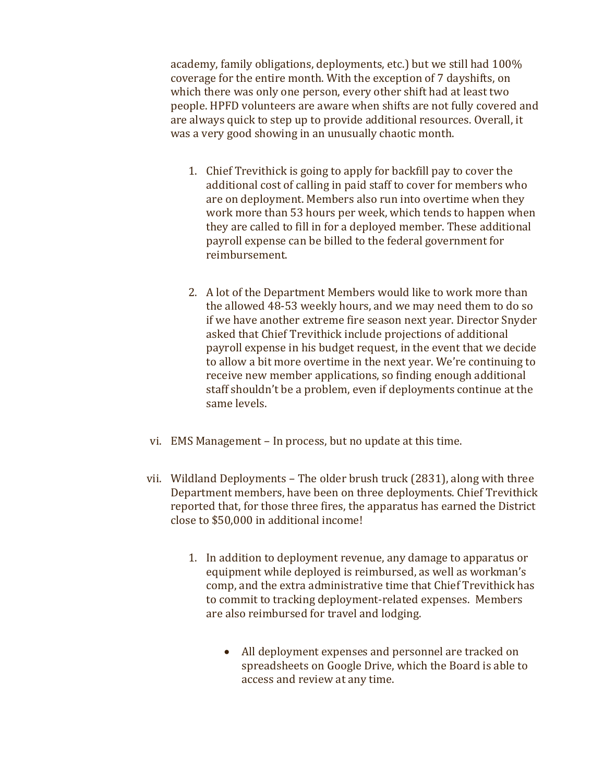academy, family obligations, deployments, etc.) but we still had 100% coverage for the entire month. With the exception of 7 dayshifts, on which there was only one person, every other shift had at least two people. HPFD volunteers are aware when shifts are not fully covered and are always quick to step up to provide additional resources. Overall, it was a very good showing in an unusually chaotic month.

- 1. Chief Trevithick is going to apply for backfill pay to cover the additional cost of calling in paid staff to cover for members who are on deployment. Members also run into overtime when they work more than 53 hours per week, which tends to happen when they are called to fill in for a deployed member. These additional payroll expense can be billed to the federal government for reimbursement.
- 2. A lot of the Department Members would like to work more than the allowed 48-53 weekly hours, and we may need them to do so if we have another extreme fire season next year. Director Snyder asked that Chief Trevithick include projections of additional payroll expense in his budget request, in the event that we decide to allow a bit more overtime in the next year. We're continuing to receive new member applications, so finding enough additional staff shouldn't be a problem, even if deployments continue at the same levels.
- vi. EMS Management In process, but no update at this time.
- vii. Wildland Deployments The older brush truck (2831), along with three Department members, have been on three deployments. Chief Trevithick reported that, for those three fires, the apparatus has earned the District close to \$50,000 in additional income!
	- 1. In addition to deployment revenue, any damage to apparatus or equipment while deployed is reimbursed, as well as workman's comp, and the extra administrative time that Chief Trevithick has to commit to tracking deployment-related expenses. Members are also reimbursed for travel and lodging.
		- All deployment expenses and personnel are tracked on spreadsheets on Google Drive, which the Board is able to access and review at any time.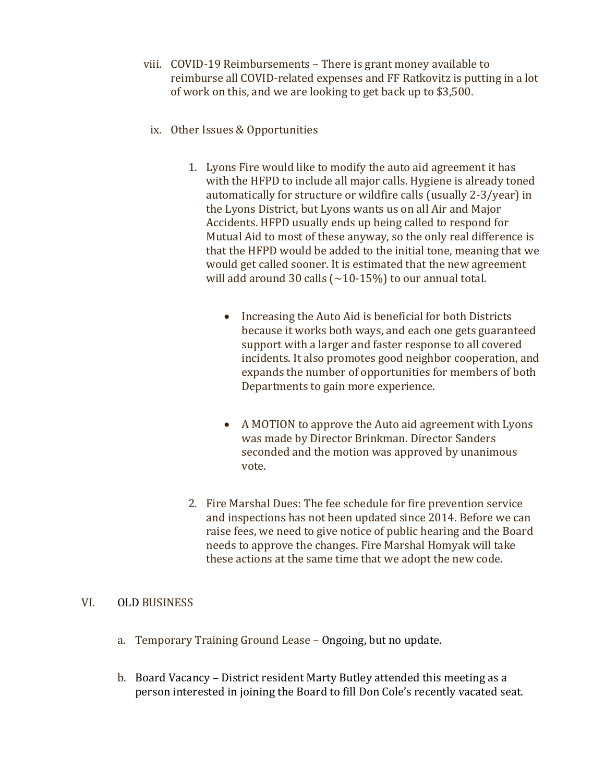- viii. COVID-19 Reimbursements There is grant money available to reimburse all COVID-related expenses and FF Ratkovitz is putting in a lot of work on this, and we are looking to get back up to \$3,500.
	- ix. Other Issues & Opportunities
		- 1. Lyons Fire would like to modify the auto aid agreement it has with the HFPD to include all major calls. Hygiene is already toned automatically for structure or wildfire calls (usually 2-3/year) in the Lyons District, but Lyons wants us on all Air and Major Accidents. HFPD usually ends up being called to respond for Mutual Aid to most of these anyway, so the only real difference is that the HFPD would be added to the initial tone, meaning that we would get called sooner. It is estimated that the new agreement will add around 30 calls  $({\sim}10{\text -}15\%)$  to our annual total.
			- Increasing the Auto Aid is beneficial for both Districts because it works both ways, and each one gets guaranteed support with a larger and faster response to all covered incidents. It also promotes good neighbor cooperation, and expands the number of opportunities for members of both Departments to gain more experience.
			- A MOTION to approve the Auto aid agreement with Lyons was made by Director Brinkman. Director Sanders seconded and the motion was approved by unanimous vote.
		- 2. Fire Marshal Dues: The fee schedule for fire prevention service and inspections has not been updated since 2014. Before we can raise fees, we need to give notice of public hearing and the Board needs to approve the changes. Fire Marshal Homyak will take these actions at the same time that we adopt the new code.

## VI. OLD BUSINESS

- a. Temporary Training Ground Lease Ongoing, but no update.
- b. Board Vacancy District resident Marty Butley attended this meeting as a person interested in joining the Board to fill Don Cole's recently vacated seat.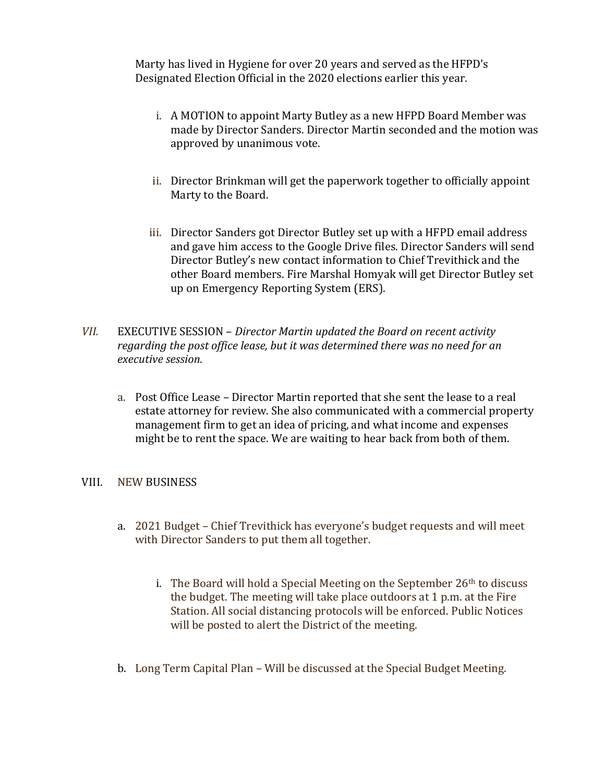Marty has lived in Hygiene for over 20 years and served as the HFPD's Designated Election Official in the 2020 elections earlier this year.

- i. A MOTION to appoint Marty Butley as a new HFPD Board Member was made by Director Sanders. Director Martin seconded and the motion was approved by unanimous vote.
- ii. Director Brinkman will get the paperwork together to officially appoint Marty to the Board.
- iii. Director Sanders got Director Butley set up with a HFPD email address and gave him access to the Google Drive files. Director Sanders will send Director Butley's new contact information to Chief Trevithick and the other Board members. Fire Marshal Homyak will get Director Butley set up on Emergency Reporting System (ERS).
- *VII.* EXECUTIVE SESSION *Director Martin updated the Board on recent activity regarding the post office lease, but it was determined there was no need for an executive session.*
	- a. Post Office Lease Director Martin reported that she sent the lease to a real estate attorney for review. She also communicated with a commercial property management firm to get an idea of pricing, and what income and expenses might be to rent the space. We are waiting to hear back from both of them.

#### VIII. NEW BUSINESS

- a. 2021 Budget Chief Trevithick has everyone's budget requests and will meet with Director Sanders to put them all together.
	- i. The Board will hold a Special Meeting on the September  $26<sup>th</sup>$  to discuss the budget. The meeting will take place outdoors at 1 p.m. at the Fire Station. All social distancing protocols will be enforced. Public Notices will be posted to alert the District of the meeting.
- b. Long Term Capital Plan Will be discussed at the Special Budget Meeting.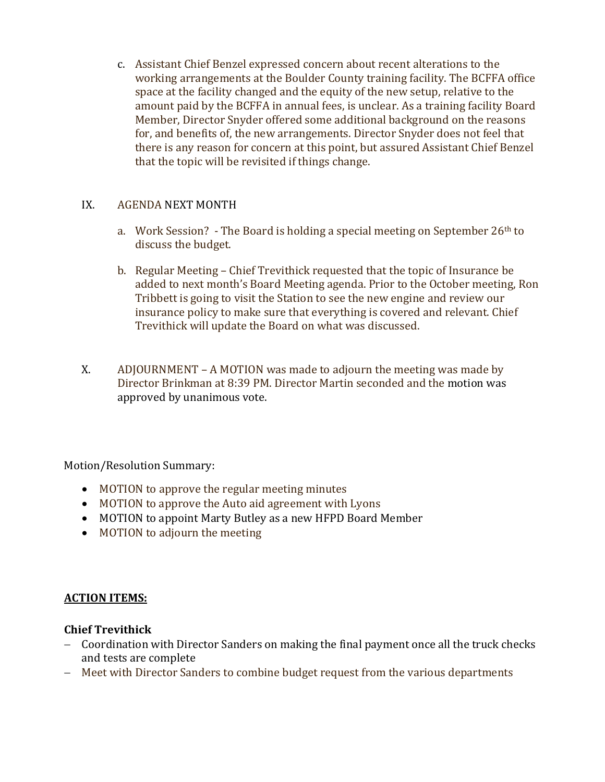c. Assistant Chief Benzel expressed concern about recent alterations to the working arrangements at the Boulder County training facility. The BCFFA office space at the facility changed and the equity of the new setup, relative to the amount paid by the BCFFA in annual fees, is unclear. As a training facility Board Member, Director Snyder offered some additional background on the reasons for, and benefits of, the new arrangements. Director Snyder does not feel that there is any reason for concern at this point, but assured Assistant Chief Benzel that the topic will be revisited if things change.

## IX. AGENDA NEXT MONTH

- a. Work Session? The Board is holding a special meeting on September  $26<sup>th</sup>$  to discuss the budget.
- b. Regular Meeting Chief Trevithick requested that the topic of Insurance be added to next month's Board Meeting agenda. Prior to the October meeting, Ron Tribbett is going to visit the Station to see the new engine and review our insurance policy to make sure that everything is covered and relevant. Chief Trevithick will update the Board on what was discussed.
- X. ADJOURNMENT A MOTION was made to adjourn the meeting was made by Director Brinkman at 8:39 PM. Director Martin seconded and the motion was approved by unanimous vote.

Motion/Resolution Summary:

- MOTION to approve the regular meeting minutes
- MOTION to approve the Auto aid agreement with Lyons
- MOTION to appoint Marty Butley as a new HFPD Board Member
- MOTION to adjourn the meeting

# **ACTION ITEMS:**

# **Chief Trevithick**

- − Coordination with Director Sanders on making the final payment once all the truck checks and tests are complete
- − Meet with Director Sanders to combine budget request from the various departments